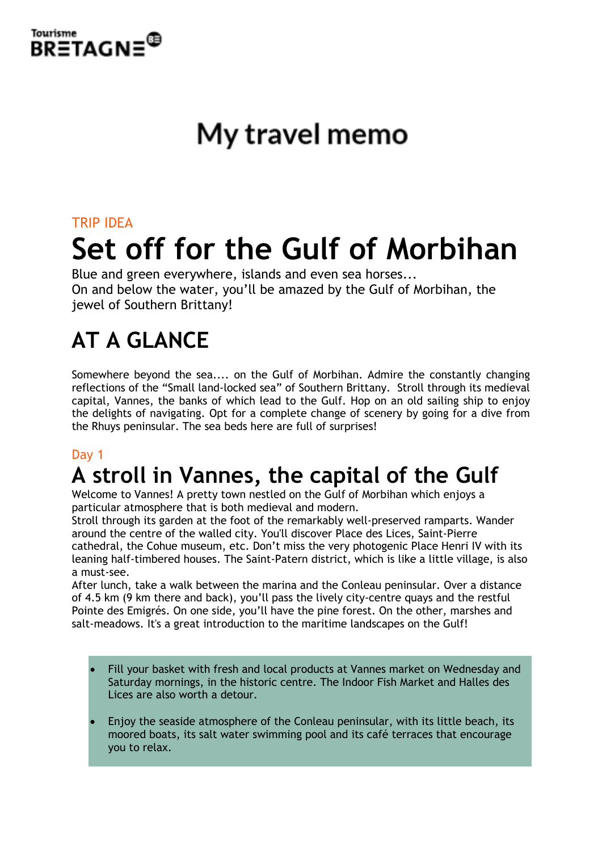

# My travel memo

# TRIP IDEA **Set off for the Gulf of Morbihan**

Blue and green everywhere, islands and even sea horses... On and below the water, you'll be amazed by the Gulf of Morbihan, the jewel of Southern Brittany!

# **AT A GLANCE**

Somewhere beyond the sea.... on the Gulf of Morbihan. Admire the constantly changing reflections of the "Small land-locked sea" of Southern Brittany. Stroll through its medieval capital, Vannes, the banks of which lead to the Gulf. Hop on an old sailing ship to enjoy the delights of navigating. Opt for a complete change of scenery by going for a dive from the Rhuys peninsular. The sea beds here are full of surprises!

#### Day 1

# **A stroll in Vannes, the capital of the Gulf**

Welcome to Vannes! A pretty town nestled on the Gulf of Morbihan which enjoys a particular atmosphere that is both medieval and modern.

Stroll through its garden at the foot of the remarkably well-preserved ramparts. Wander around the centre of the walled city. You'll discover Place des Lices, Saint-Pierre cathedral, the Cohue museum, etc. Don't miss the very photogenic Place Henri IV with its leaning half-timbered houses. The Saint-Patern district, which is like a little village, is also a must-see.

After lunch, take a walk between the marina and the Conleau peninsular. Over a distance of 4.5 km (9 km there and back), you'll pass the lively city-centre quays and the restful Pointe des Emigrés. On one side, you'll have the pine forest. On the other, marshes and salt-meadows. It's a great introduction to the maritime landscapes on the Gulf!

- Fill your basket with fresh and local products at Vannes market on Wednesday and Saturday mornings, in the historic centre. The Indoor Fish Market and Halles des Lices are also worth a detour.
- Enjoy the seaside atmosphere of the Conleau peninsular, with its little beach, its moored boats, its salt water swimming pool and its café terraces that encourage you to relax.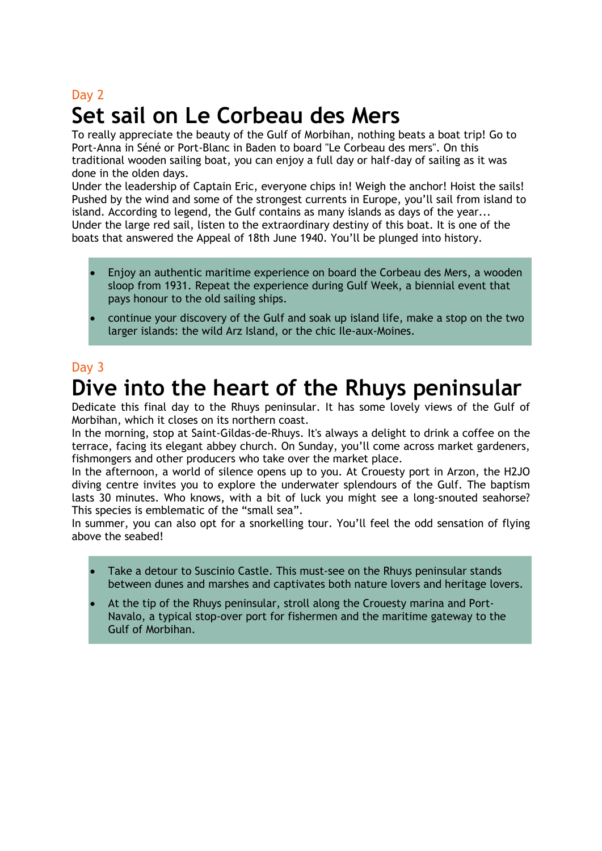## Day 2 **Set sail on Le Corbeau des Mers**

To really appreciate the beauty of the Gulf of Morbihan, nothing beats a boat trip! Go to Port-Anna in Séné or Port-Blanc in Baden to board "Le Corbeau des mers". On this traditional wooden sailing boat, you can enjoy a full day or half-day of sailing as it was done in the olden days.

Under the leadership of Captain Eric, everyone chips in! Weigh the anchor! Hoist the sails! Pushed by the wind and some of the strongest currents in Europe, you'll sail from island to island. According to legend, the Gulf contains as many islands as days of the year... Under the large red sail, listen to the extraordinary destiny of this boat. It is one of the boats that answered the Appeal of 18th June 1940. You'll be plunged into history.

- Enjoy an authentic maritime experience on board the Corbeau des Mers, a wooden sloop from 1931. Repeat the experience during Gulf Week, a biennial event that pays honour to the old sailing ships.
- continue your discovery of the Gulf and soak up island life, make a stop on the two larger islands: the wild Arz Island, or the chic Ile-aux-Moines.

## Day 3 **Dive into the heart of the Rhuys peninsular**

Dedicate this final day to the Rhuys peninsular. It has some lovely views of the Gulf of Morbihan, which it closes on its northern coast.

In the morning, stop at Saint-Gildas-de-Rhuys. It's always a delight to drink a coffee on the terrace, facing its elegant abbey church. On Sunday, you'll come across market gardeners, fishmongers and other producers who take over the market place.

In the afternoon, a world of silence opens up to you. At Crouesty port in Arzon, the H2JO diving centre invites you to explore the underwater splendours of the Gulf. The baptism lasts 30 minutes. Who knows, with a bit of luck you might see a long-snouted seahorse? This species is emblematic of the "small sea".

In summer, you can also opt for a snorkelling tour. You'll feel the odd sensation of flying above the seabed!

- Take a detour to Suscinio Castle. This must-see on the Rhuys peninsular stands between dunes and marshes and captivates both nature lovers and heritage lovers.
- At the tip of the Rhuys peninsular, stroll along the Crouesty marina and Port-Navalo, a typical stop-over port for fishermen and the maritime gateway to the Gulf of Morbihan.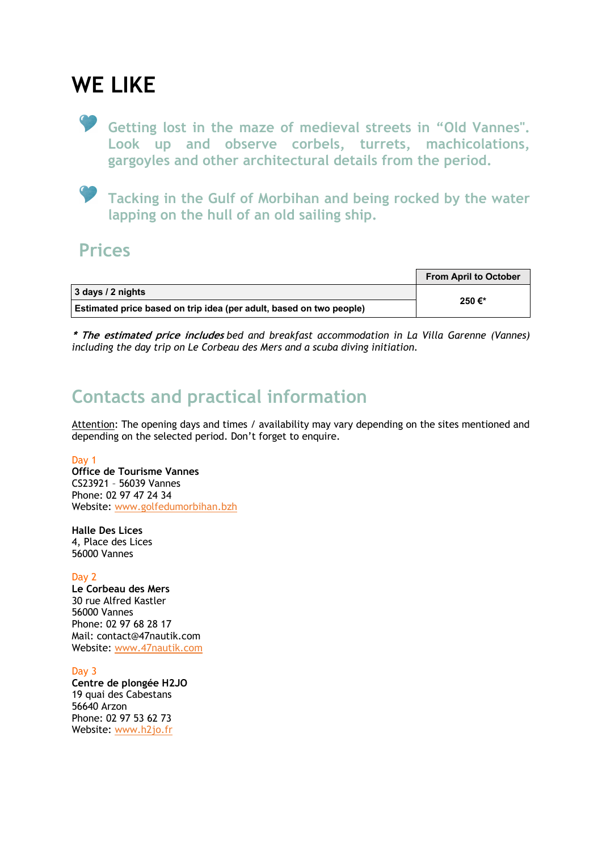## **WE LIKE**

**Getting lost in the maze of medieval streets in "Old Vannes". Look up and observe corbels, turrets, machicolations, gargoyles and other architectural details from the period.**

**Tacking in the Gulf of Morbihan and being rocked by the water lapping on the hull of an old sailing ship.**

#### **Prices**

|                                                                     | <b>From April to October</b> |
|---------------------------------------------------------------------|------------------------------|
| 3 days / 2 nights                                                   | 250€*                        |
| Estimated price based on trip idea (per adult, based on two people) |                              |

**\* The estimated price includes** *bed and breakfast accommodation in La Villa Garenne (Vannes) including the day trip on Le Corbeau des Mers and a scuba diving initiation.*

## **Contacts and practical information**

Attention: The opening days and times / availability may vary depending on the sites mentioned and depending on the selected period. Don't forget to enquire.

#### Day 1

**Office de Tourisme Vannes** CS23921 – 56039 Vannes Phone: 02 97 47 24 34 Website: www.golfedumorbihan.bzh

**Halle Des Lices** 4, Place des Lices 56000 Vannes

Day 2

**Le Corbeau des Mers** 30 rue Alfred Kastler 56000 Vannes Phone: 02 97 68 28 17 Mail: contact@47nautik.com Website: www.47nautik.com

Day 3 **Centre de plongée H2JO** 19 quai des Cabestans 56640 Arzon Phone: 02 97 53 62 73

Website: www.h2jo.fr